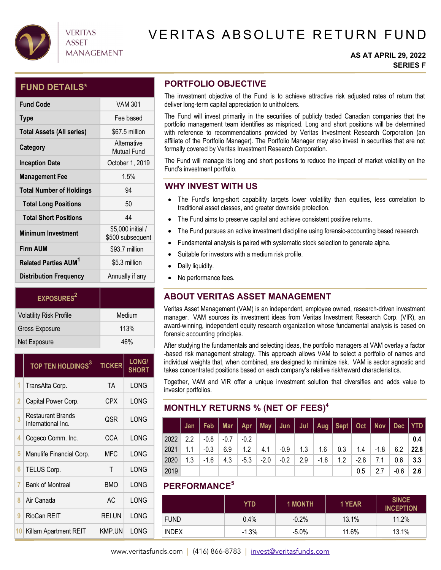

### VERITAS ASSET **MANAGEMENT**

# VERITAS ABSOLUTE RETURN FUND

### **AS AT APRIL 29, 2022 SERIES F**

### **FUND DETAILS\***

| <b>Fund Code</b>                       | <b>VAM 301</b>                        |
|----------------------------------------|---------------------------------------|
| <b>Type</b>                            | Fee based                             |
| <b>Total Assets (All series)</b>       | \$67.5 million                        |
| Category                               | Alternative<br><b>Mutual Fund</b>     |
| <b>Inception Date</b>                  | October 1, 2019                       |
| <b>Management Fee</b>                  | 1.5%                                  |
| <b>Total Number of Holdings</b>        | 94                                    |
| <b>Total Long Positions</b>            | 50                                    |
| <b>Total Short Positions</b>           | 44                                    |
| <b>Minimum Investment</b>              | \$5,000 initial /<br>\$500 subsequent |
| <b>Firm AUM</b>                        | \$93.7 million                        |
| <b>Related Parties AUM<sup>1</sup></b> | \$5.3 million                         |
| <b>Distribution Frequency</b>          | Annually if any                       |

| EXPOSURES <sup>2</sup>         |        |
|--------------------------------|--------|
| <b>Volatility Risk Profile</b> | Medium |
| <b>Gross Exposure</b>          | 113%   |
| Net Exposure                   | 46%    |

|    | TOP TEN HOLDINGS <sup>3</sup>           | <b>TICKER</b> | <b>LONG/</b><br><b>SHORT</b> |
|----|-----------------------------------------|---------------|------------------------------|
| 1  | TransAlta Corp.                         | <b>TA</b>     | LONG                         |
| 2  | Capital Power Corp.                     | CPX           | LONG                         |
| 3  | Restaurant Brands<br>International Inc. | QSR           | LONG                         |
| 4  | Cogeco Comm. Inc.                       | CCA           | LONG                         |
| 5  | Manulife Financial Corp.                | <b>MFC</b>    | LONG                         |
| 6  | TELUS Corp.                             | Τ             | LONG                         |
| 7  | <b>Bank of Montreal</b>                 | <b>BMO</b>    | LONG                         |
| 8  | Air Canada                              | AC            | LONG                         |
| 9  | RioCan REIT                             | <b>REI.UN</b> | LONG                         |
| 10 | Killam Apartment REIT                   | KMP.UN        | LONG                         |

### **PORTFOLIO OBJECTIVE**

The investment objective of the Fund is to achieve attractive risk adjusted rates of return that deliver long-term capital appreciation to unitholders.

The Fund will invest primarily in the securities of publicly traded Canadian companies that the portfolio management team identifies as mispriced. Long and short positions will be determined with reference to recommendations provided by Veritas Investment Research Corporation (an affiliate of the Portfolio Manager). The Portfolio Manager may also invest in securities that are not formally covered by Veritas Investment Research Corporation.

The Fund will manage its long and short positions to reduce the impact of market volatility on the Fund's investment portfolio.

### **WHY INVEST WITH US**

- The Fund's long-short capability targets lower volatility than equities, less correlation to traditional asset classes, and greater downside protection.
- The Fund aims to preserve capital and achieve consistent positive returns.
- The Fund pursues an active investment discipline using forensic-accounting based research.
- Fundamental analysis is paired with systematic stock selection to generate alpha.
- Suitable for investors with a medium risk profile.
- Daily liquidity.
- No performance fees.

### **ABOUT VERITAS ASSET MANAGEMENT**

Veritas Asset Management (VAM) is an independent, employee owned, research-driven investment manager. VAM sources its investment ideas from Veritas Investment Research Corp. (VIR), an award-winning, independent equity research organization whose fundamental analysis is based on forensic accounting principles.

After studying the fundamentals and selecting ideas, the portfolio managers at VAM overlay a factor -based risk management strategy. This approach allows VAM to select a portfolio of names and individual weights that, when combined, are designed to minimize risk. VAM is sector agnostic and takes concentrated positions based on each company's relative risk/reward characteristics.

Together, VAM and VIR offer a unique investment solution that diversifies and adds value to investor portfolios.

### **MONTHLY RETURNS % (NET OF FEES)4**

|      |     |      |        |        |        |        |           |        | Jan   Feb   Mar   Apr   May   Jun   Jul   Aug   Sept   Oct   Nov   Dec   YTD |        |                |      |      |
|------|-----|------|--------|--------|--------|--------|-----------|--------|------------------------------------------------------------------------------|--------|----------------|------|------|
| 2022 | 2.2 | -0.8 | $-0.7$ | $-0.2$ |        |        |           |        |                                                                              |        |                |      | 0.4  |
| 2021 | 1.1 | -0.3 | 6.9    | 1.2    | 4.1    | $-0.9$ | $+ 1.3 +$ | 1.6    | 0.3                                                                          |        | $1.4$   $-1.8$ | 6.2  | 22.8 |
| 2020 | 1.3 | -1.6 | 4.3    | $-5.3$ | $-2.0$ | -0.2   | 2.9       | $-1.6$ | 1.2                                                                          | $-2.8$ | 7.1            | 0.6  | 3.3  |
| 2019 |     |      |        |        |        |        |           |        |                                                                              | 0.5    | 2.7            | -0.6 | 2.6  |

### **PERFORMANCE5**

|              | YTD     | <b>1 MONTH</b> | 1 YEAR | <b>SINCE</b><br><b>INCEPTION</b> |
|--------------|---------|----------------|--------|----------------------------------|
| <b>FUND</b>  | $0.4\%$ | $-0.2%$        | 13.1%  | 11.2%                            |
| <b>INDEX</b> | $-1.3%$ | $-5.0\%$       | 11.6%  | 13.1%                            |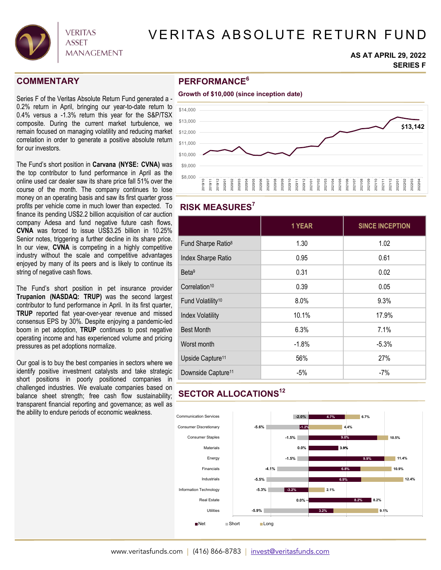

## VERITAS ABSOLUTE RETURN FUND

#### **AS AT APRIL 29, 2022 SERIES F**

### **COMMENTARY**

Series F of the Veritas Absolute Return Fund generated a - 0.2% return in April, bringing our year-to-date return to 0.4% versus a -1.3% return this year for the S&P/TSX composite. During the current market turbulence, we remain focused on managing volatility and reducing market correlation in order to generate a positive absolute return for our investors.

The Fund's short position in **Carvana (NYSE: CVNA)** was the top contributor to fund performance in April as the online used car dealer saw its share price fall 51% over the course of the month. The company continues to lose money on an operating basis and saw its first quarter gross profits per vehicle come in much lower than expected. To finance its pending US\$2.2 billion acquisition of car auction company Adesa and fund negative future cash flows, **CVNA** was forced to issue US\$3.25 billion in 10.25% Senior notes, triggering a further decline in its share price. In our view, **CVNA** is competing in a highly competitive industry without the scale and competitive advantages enjoyed by many of its peers and is likely to continue its string of negative cash flows.

The Fund's short position in pet insurance provider **Trupanion (NASDAQ: TRUP)** was the second largest contributor to fund performance in April. In its first quarter, **TRUP** reported flat year-over-year revenue and missed consensus EPS by 30%. Despite enjoying a pandemic-led boom in pet adoption, **TRUP** continues to post negative operating income and has experienced volume and pricing pressures as pet adoptions normalize.

Our goal is to buy the best companies in sectors where we identify positive investment catalysts and take strategic short positions in poorly positioned companies in challenged industries. We evaluate companies based on balance sheet strength; free cash flow sustainability; transparent financial reporting and governance; as well as the ability to endure periods of economic weakness.

### **PERFORMANCE6**



### **RISK MEASURES7**

|                                | 1 YEAR  | <b>SINCE INCEPTION</b> |
|--------------------------------|---------|------------------------|
| Fund Sharpe Ratio <sup>8</sup> | 1.30    | 1.02                   |
| Index Sharpe Ratio             | 0.95    | 0.61                   |
| Beta <sup>9</sup>              | 0.31    | 0.02                   |
| Correlation <sup>10</sup>      | 0.39    | 0.05                   |
| Fund Volatility <sup>10</sup>  | 8.0%    | 9.3%                   |
| <b>Index Volatility</b>        | 10.1%   | 17.9%                  |
| <b>Best Month</b>              | 6.3%    | 7.1%                   |
| Worst month                    | $-1.8%$ | $-5.3%$                |
| Upside Capture <sup>11</sup>   | 56%     | 27%                    |
| Downside Capture <sup>11</sup> | $-5%$   | $-7%$                  |

## **SECTOR ALLOCATIONS12**